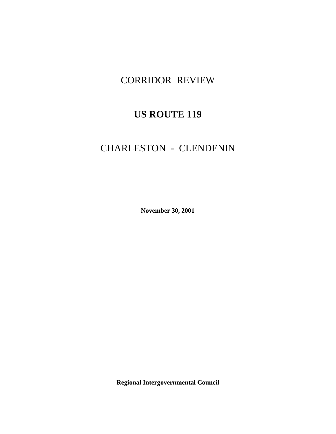# CORRIDOR REVIEW

# **US ROUTE 119**

# CHARLESTON - CLENDENIN

**November 30, 2001**

**Regional Intergovernmental Council**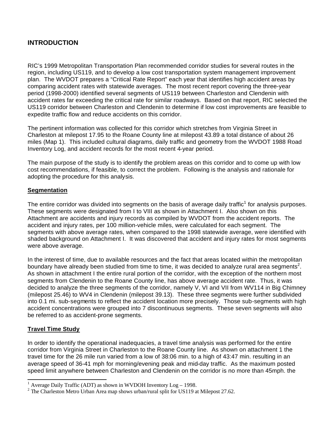# **INTRODUCTION**

RIC's 1999 Metropolitan Transportation Plan recommended corridor studies for several routes in the region, including US119, and to develop a low cost transportation system management improvement plan. The WVDOT prepares a "Critical Rate Report" each year that identifies high accident areas by comparing accident rates with statewide averages. The most recent report covering the three-year period (1998-2000) identified several segments of US119 between Charleston and Clendenin with accident rates far exceeding the critical rate for similar roadways. Based on that report, RIC selected the US119 corridor between Charleston and Clendenin to determine if low cost improvements are feasible to expedite traffic flow and reduce accidents on this corridor.

The pertinent information was collected for this corridor which stretches from Virginia Street in Charleston at milepost 17.95 to the Roane County line at milepost 43.89 a total distance of about 26 miles (Map 1). This included cultural diagrams, daily traffic and geometry from the WVDOT 1988 Road Inventory Log, and accident records for the most recent 4-year period.

The main purpose of the study is to identify the problem areas on this corridor and to come up with low cost recommendations, if feasible, to correct the problem. Following is the analysis and rationale for adopting the procedure for this analysis.

#### **Segmentation**

The entire corridor was divided into segments on the basis of average daily traffic<sup>1</sup> for analysis purposes. These segments were designated from I to VIII as shown in Attachment I. Also shown on this Attachment are accidents and injury records as compiled by WVDOT from the accident reports. The accident and injury rates, per 100 million-vehicle miles, were calculated for each segment. The segments with above average rates, when compared to the 1998 statewide average, were identified with shaded background on Attachment I. It was discovered that accident and injury rates for most segments were above average.

In the interest of time, due to available resources and the fact that areas located within the metropolitan boundary have already been studied from time to time, it was decided to analyze rural area segments<sup>2</sup>. As shown in attachment I the entire rural portion of the corridor, with the exception of the northern most segments from Clendenin to the Roane County line, has above average accident rate. Thus, it was decided to analyze the three segments of the corridor, namely V, VI and VII from WV114 in Big Chimney (milepost 25.46) to WV4 in Clendenin (milepost 39.13). These three segments were further subdivided into 0.1 mi. sub-segments to reflect the accident location more precisely. Those sub-segments with high accident concentrations were grouped into 7 discontinuous segments. These seven segments will also be referred to as accident-prone segments.

# **Travel Time Study**

 $\overline{a}$ 

In order to identify the operational inadequacies, a travel time analysis was performed for the entire corridor from Virginia Street in Charleston to the Roane County line. As shown on attachment 1 the travel time for the 26 mile run varied from a low of 38:06 min. to a high of 43:47 min. resulting in an average speed of 36-41 mph for morning/evening peak and mid-day traffic. As the maximum posted speed limit anywhere between Charleston and Clendenin on the corridor is no more than 45mph. the

<sup>1</sup> Average Daily Traffic (ADT) as shown in WVDOH Inventory Log – 1998.

<sup>2</sup> The Charleston Metro Urban Area map shows urban/rural split for US119 at Milepost 27.62.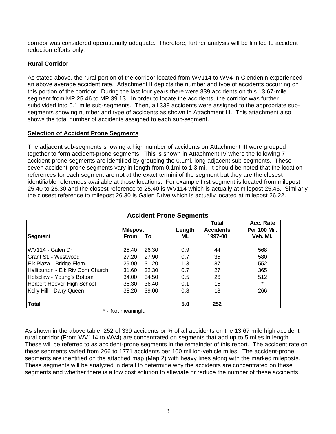corridor was considered operationally adequate. Therefore, further analysis will be limited to accident reduction efforts only.

# **Rural Corridor**

As stated above, the rural portion of the corridor located from WV114 to WV4 in Clendenin experienced an above average accident rate. Attachment II depicts the number and type of accidents occurring on this portion of the corridor. During the last four years there were 339 accidents on this 13.67-mile segment from MP 25.46 to MP 39.13. In order to locate the accidents, the corridor was further subdivided into 0.1 mile sub-segments. Then, all 339 accidents were assigned to the appropriate subsegments showing number and type of accidents as shown in Attachment III. This attachment also shows the total number of accidents assigned to each sub-segment.

#### **Selection of Accident Prone Segments**

The adjacent sub-segments showing a high number of accidents on Attachment III were grouped together to form accident-prone segments. This is shown in Attachment IV where the following 7 accident-prone segments are identified by grouping the 0.1mi. long adjacent sub-segments. These seven accident-prone segments vary in length from 0.1mi to 1.3 mi. It should be noted that the location references for each segment are not at the exact termini of the segment but they are the closest identifiable references available at those locations. For example first segment is located from milepost 25.40 to 26.30 and the closest reference to 25.40 is WV114 which is actually at milepost 25.46. Similarly the closest reference to milepost 26.30 is Galen Drive which is actually located at milepost 26.22.

| <b>Accident Prone Segments</b>   |                    |       |        |                                  |                                  |
|----------------------------------|--------------------|-------|--------|----------------------------------|----------------------------------|
|                                  | <b>Milepost</b>    |       | Length | <b>Total</b><br><b>Accidents</b> | Acc. Rate<br><b>Per 100 Mil.</b> |
| <b>Segment</b>                   | From               | To    | Mi.    | 1997-00                          | Veh. Mi.                         |
| IWV114 - Galen Dr                | 25.40              | 26.30 | 0.9    | 44                               | 568                              |
| IGrant St. - Westwood            | 27.20              | 27.90 | 0.7    | 35                               | 580                              |
| Elk Plaza - Bridge Elem.         | 29.90              | 31.20 | 1.3    | 87                               | 552                              |
| Halliburton - Elk Riv Com Church | 31.60              | 32.30 | 0.7    | 27                               | 365                              |
| Holsclaw - Young's Bottom        | 34.00              | 34.50 | 0.5    | 26                               | 512                              |
| Herbert Hoover High School       | 36.30              | 36.40 | 0.1    | 15                               | *                                |
| Kelly Hill - Dairy Queen         | 38.20              | 39.00 | 0.8    | 18                               | 266                              |
| <b>Total</b>                     |                    |       | 5.0    | 252                              |                                  |
|                                  | * - Not meaningful |       |        |                                  |                                  |

As shown in the above table, 252 of 339 accidents or ¾ of all accidents on the 13.67 mile high accident rural corridor (From WV114 to WV4) are concentrated on segments that add up to 5 miles in length. These will be referred to as accident-prone segments in the remainder of this report. The accident rate on these segments varied from 266 to 1771 accidents per 100 million-vehicle miles. The accident-prone segments are identified on the attached map (Map 2) with heavy lines along with the marked mileposts. These segments will be analyzed in detail to determine why the accidents are concentrated on these segments and whether there is a low cost solution to alleviate or reduce the number of these accidents.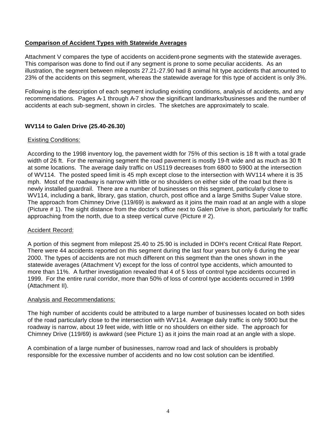## **Comparison of Accident Types with Statewide Averages**

Attachment V compares the type of accidents on accident-prone segments with the statewide averages. This comparison was done to find out if any segment is prone to some peculiar accidents. As an illustration, the segment between mileposts 27.21-27.90 had 8 animal hit type accidents that amounted to 23% of the accidents on this segment, whereas the statewide average for this type of accident is only 3%.

Following is the description of each segment including existing conditions, analysis of accidents, and any recommendations. Pages A-1 through A-7 show the significant landmarks/businesses and the number of accidents at each sub-segment, shown in circles. The sketches are approximately to scale.

# **WV114 to Galen Drive (25.40-26.30)**

#### Existing Conditions:

According to the 1998 inventory log, the pavement width for 75% of this section is 18 ft with a total grade width of 26 ft. For the remaining segment the road pavement is mostly 19-ft wide and as much as 30 ft at some locations. The average daily traffic on US119 decreases from 6800 to 5900 at the intersection of WV114. The posted speed limit is 45 mph except close to the intersection with WV114 where it is 35 mph. Most of the roadway is narrow with little or no shoulders on either side of the road but there is newly installed guardrail. There are a number of businesses on this segment, particularly close to WV114, including a bank, library, gas station, church, post office and a large Smiths Super Value store. The approach from Chimney Drive (119/69) is awkward as it joins the main road at an angle with a slope (Picture # 1). The sight distance from the doctor's office next to Galen Drive is short, particularly for traffic approaching from the north, due to a steep vertical curve (Picture # 2).

# Accident Record:

A portion of this segment from milepost 25.40 to 25.90 is included in DOH's recent Critical Rate Report. There were 44 accidents reported on this segment during the last four years but only 6 during the year 2000. The types of accidents are not much different on this segment than the ones shown in the statewide averages (Attachment V) except for the loss of control type accidents, which amounted to more than 11%. A further investigation revealed that 4 of 5 loss of control type accidents occurred in 1999. For the entire rural corridor, more than 50% of loss of control type accidents occurred in 1999 (Attachment II).

#### Analysis and Recommendations:

The high number of accidents could be attributed to a large number of businesses located on both sides of the road particularly close to the intersection with WV114. Average daily traffic is only 5900 but the roadway is narrow, about 19 feet wide, with little or no shoulders on either side. The approach for Chimney Drive (119/69) is awkward (see Picture 1) as it joins the main road at an angle with a slope.

A combination of a large number of businesses, narrow road and lack of shoulders is probably responsible for the excessive number of accidents and no low cost solution can be identified.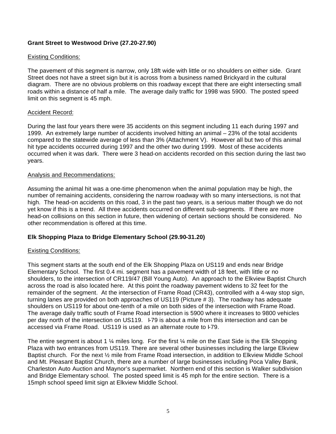# **Grant Street to Westwood Drive (27.20-27.90)**

## Existing Conditions:

The pavement of this segment is narrow, only 18ft wide with little or no shoulders on either side. Grant Street does not have a street sign but it is across from a business named Brickyard in the cultural diagram. There are no obvious problems on this roadway except that there are eight intersecting small roads within a distance of half a mile. The average daily traffic for 1998 was 5900. The posted speed limit on this segment is 45 mph.

#### Accident Record:

During the last four years there were 35 accidents on this segment including 11 each during 1997 and 1999. An extremely large number of accidents involved hitting an animal – 23% of the total accidents compared to the statewide average of less than 3% (Attachment V). However all but two of this animal hit type accidents occurred during 1997 and the other two during 1999. Most of these accidents occurred when it was dark. There were 3 head-on accidents recorded on this section during the last two years.

#### Analysis and Recommendations:

Assuming the animal hit was a one-time phenomenon when the animal population may be high, the number of remaining accidents, considering the narrow roadway with so many intersections, is not that high. The head-on accidents on this road, 3 in the past two years, is a serious matter though we do not yet know if this is a trend. All three accidents occurred on different sub-segments. If there are more head-on collisions on this section in future, then widening of certain sections should be considered. No other recommendation is offered at this time.

# **Elk Shopping Plaza to Bridge Elementary School (29.90-31.20)**

# Existing Conditions:

This segment starts at the south end of the Elk Shopping Plaza on US119 and ends near Bridge Elementary School. The first 0.4 mi. segment has a pavement width of 18 feet, with little or no shoulders, to the intersection of CR119/47 (Bill Young Auto). An approach to the Elkview Baptist Church across the road is also located here. At this point the roadway pavement widens to 32 feet for the remainder of the segment. At the intersection of Frame Road (CR43), controlled with a 4-way stop sign, turning lanes are provided on both approaches of US119 (Picture # 3). The roadway has adequate shoulders on US119 for about one-tenth of a mile on both sides of the intersection with Frame Road. The average daily traffic south of Frame Road intersection is 5900 where it increases to 9800 vehicles per day north of the intersection on US119. I-79 is about a mile from this intersection and can be accessed via Frame Road. US119 is used as an alternate route to I-79.

The entire segment is about 1  $\frac{1}{4}$  miles long. For the first  $\frac{1}{4}$  mile on the East Side is the Elk Shopping Plaza with two entrances from US119. There are several other businesses including the large Elkview Baptist church. For the next ½ mile from Frame Road intersection, in addition to Elkview Middle School and Mt. Pleasant Baptist Church, there are a number of large businesses including Poca Valley Bank, Charleston Auto Auction and Maynor's supermarket. Northern end of this section is Walker subdivision and Bridge Elementary school. The posted speed limit is 45 mph for the entire section. There is a 15mph school speed limit sign at Elkview Middle School.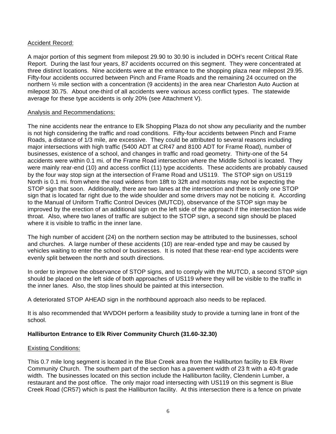## Accident Record:

A major portion of this segment from milepost 29.90 to 30.90 is included in DOH's recent Critical Rate Report. During the last four years, 87 accidents occurred on this segment. They were concentrated at three distinct locations. Nine accidents were at the entrance to the shopping plaza near milepost 29.95. Fifty-four accidents occurred between Pinch and Frame Roads and the remaining 24 occurred on the northern ½ mile section with a concentration (9 accidents) in the area near Charleston Auto Auction at milepost 30.75. About one-third of all accidents were various access conflict types. The statewide average for these type accidents is only 20% (see Attachment V).

#### Analysis and Recommendations:

The nine accidents near the entrance to Elk Shopping Plaza do not show any peculiarity and the number is not high considering the traffic and road conditions. Fifty-four accidents between Pinch and Frame Roads, a distance of 1/3 mile, are excessive. They could be attributed to several reasons including major intersections with high traffic (5400 ADT at CR47 and 8100 ADT for Frame Road), number of businesses, existence of a school, and changes in traffic and road geometry. Thirty-one of the 54 accidents were within 0.1 mi. of the Frame Road intersection where the Middle School is located. They were mainly rear-end (10) and access conflict (11) type accidents. These accidents are probably caused by the four way stop sign at the intersection of Frame Road and US119. The STOP sign on US119 North is 0.1 mi. from where the road widens from 18ft to 32ft and motorists may not be expecting the STOP sign that soon. Additionally, there are two lanes at the intersection and there is only one STOP sign that is located far right due to the wide shoulder and some drivers may not be noticing it. According to the Manual of Uniform Traffic Control Devices (MUTCD), observance of the STOP sign may be improved by the erection of an additional sign on the left side of the approach if the intersection has wide throat. Also, where two lanes of traffic are subject to the STOP sign, a second sign should be placed where it is visible to traffic in the inner lane.

The high number of accident (24) on the northern section may be attributed to the businesses, school and churches. A large number of these accidents (10) are rear-ended type and may be caused by vehicles waiting to enter the school or businesses. It is noted that these rear-end type accidents were evenly split between the north and south directions.

In order to improve the observance of STOP signs, and to comply with the MUTCD, a second STOP sign should be placed on the left side of both approaches of US119 where they will be visible to the traffic in the inner lanes. Also, the stop lines should be painted at this intersection.

A deteriorated STOP AHEAD sign in the northbound approach also needs to be replaced.

It is also recommended that WVDOH perform a feasibility study to provide a turning lane in front of the school.

# **Halliburton Entrance to Elk River Community Church (31.60-32.30)**

# Existing Conditions:

This 0.7 mile long segment is located in the Blue Creek area from the Halliburton facility to Elk River Community Church. The southern part of the section has a pavement width of 23 ft with a 40-ft grade width. The businesses located on this section include the Halliburton facility, Clendenin Lumber, a restaurant and the post office. The only major road intersecting with US119 on this segment is Blue Creek Road (CR57) which is past the Halliburton facility. At this intersection there is a fence on private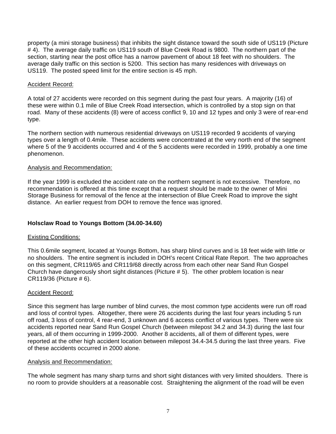property (a mini storage business) that inhibits the sight distance toward the south side of US119 (Picture # 4). The average daily traffic on US119 south of Blue Creek Road is 9800. The northern part of the section, starting near the post office has a narrow pavement of about 18 feet with no shoulders. The average daily traffic on this section is 5200. This section has many residences with driveways on US119. The posted speed limit for the entire section is 45 mph.

# Accident Record:

A total of 27 accidents were recorded on this segment during the past four years. A majority (16) of these were within 0.1 mile of Blue Creek Road intersection, which is controlled by a stop sign on that road. Many of these accidents (8) were of access conflict 9, 10 and 12 types and only 3 were of rear-end type.

The northern section with numerous residential driveways on US119 recorded 9 accidents of varying types over a length of 0.4mile. These accidents were concentrated at the very north end of the segment where 5 of the 9 accidents occurred and 4 of the 5 accidents were recorded in 1999, probably a one time phenomenon.

# Analysis and Recommendation:

If the year 1999 is excluded the accident rate on the northern segment is not excessive. Therefore, no recommendation is offered at this time except that a request should be made to the owner of Mini Storage Business for removal of the fence at the intersection of Blue Creek Road to improve the sight distance. An earlier request from DOH to remove the fence was ignored.

# **Holsclaw Road to Youngs Bottom (34.00-34.60)**

# Existing Conditions:

This 0.6mile segment, located at Youngs Bottom, has sharp blind curves and is 18 feet wide with little or no shoulders. The entire segment is included in DOH's recent Critical Rate Report. The two approaches on this segment, CR119/65 and CR119/68 directly across from each other near Sand Run Gospel Church have dangerously short sight distances (Picture # 5). The other problem location is near CR119/36 (Picture # 6).

# Accident Record:

Since this segment has large number of blind curves, the most common type accidents were run off road and loss of control types. Altogether, there were 26 accidents during the last four years including 5 run off road, 3 loss of control, 4 rear-end, 3 unknown and 6 access conflict of various types. There were six accidents reported near Sand Run Gospel Church (between milepost 34.2 and 34.3) during the last four years, all of them occurring in 1999-2000. Another 8 accidents, all of them of different types, were reported at the other high accident location between milepost 34.4-34.5 during the last three years. Five of these accidents occurred in 2000 alone.

# Analysis and Recommendation:

The whole segment has many sharp turns and short sight distances with very limited shoulders. There is no room to provide shoulders at a reasonable cost. Straightening the alignment of the road will be even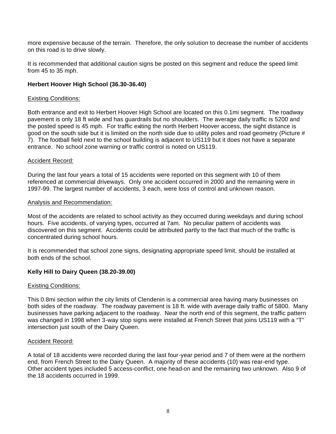more expensive because of the terrain. Therefore, the only solution to decrease the number of accidents on this road is to drive slowly.

It is recommended that additional caution signs be posted on this segment and reduce the speed limit from 45 to 35 mph.

## **Herbert Hoover High School (36.30-36.40)**

#### Existing Conditions:

Both entrance and exit to Herbert Hoover High School are located on this 0.1mi segment. The roadway pavement is only 18 ft wide and has guardrails but no shoulders. The average daily traffic is 5200 and the posted speed is 45 mph. For traffic exiting the north Herbert Hoover access, the sight distance is good on the south side but it is limited on the north side due to utility poles and road geometry (Picture # 7). The football field next to the school building is adjacent to US119 but it does not have a separate entrance. No school zone warning or traffic control is noted on US119.

#### Accident Record:

During the last four years a total of 15 accidents were reported on this segment with 10 of them referenced at commercial driveways. Only one accident occurred in 2000 and the remaining were in 1997-99. The largest number of accidents, 3 each, were loss of control and unknown reason.

#### Analysis and Recommendation:

Most of the accidents are related to school activity as they occurred during weekdays and during school hours. Five accidents, of varying types, occurred at 7am. No peculiar pattern of accidents was discovered on this segment. Accidents could be attributed partly to the fact that much of the traffic is concentrated during school hours.

It is recommended that school zone signs, designating appropriate speed limit, should be installed at both ends of the school.

#### **Kelly Hill to Dairy Queen (38.20-39.00)**

#### Existing Conditions:

This 0.8mi section within the city limits of Clendenin is a commercial area having many businesses on both sides of the roadway. The roadway pavement is 18 ft. wide with average daily traffic of 5800. Many businesses have parking adjacent to the roadway. Near the north end of this segment, the traffic pattern was changed in 1998 when 3-way stop signs were installed at French Street that joins US119 with a "T" intersection just south of the Dairy Queen.

#### Accident Record:

A total of 18 accidents were recorded during the last four-year period and 7 of them were at the northern end, from French Street to the Dairy Queen. A majority of these accidents (10) was rear-end type. Other accident types included 5 access-conflict, one head-on and the remaining two unknown. Also 9 of the 18 accidents occurred in 1999.